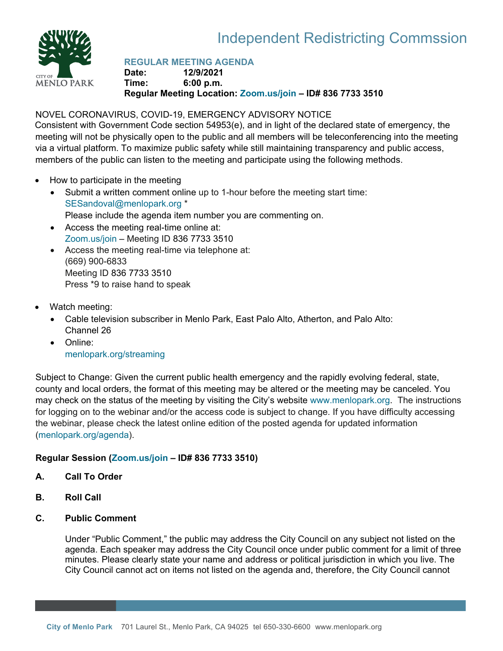



# **REGULAR MEETING AGENDA**

**Date: 12/9/2021 Time: 6:00 p.m. Regular Meeting Location: [Zoom.us/join](https://zoom.us/join) – ID# 836 7733 3510**

# NOVEL CORONAVIRUS, COVID-19, EMERGENCY ADVISORY NOTICE

Consistent with Government Code section 54953(e), and in light of the declared state of emergency, the meeting will not be physically open to the public and all members will be teleconferencing into the meeting via a virtual platform. To maximize public safety while still maintaining transparency and public access, members of the public can listen to the meeting and participate using the following methods.

- How to participate in the meeting
	- Submit a written comment online up to 1-hour before the meeting start time: [SESandoval@menlopark.org](mailto:SESandoval@menlopark.org?subject=20211209%20IRC%20public%20comment) \* Please include the agenda item number you are commenting on.
	- Access the meeting real-time online at: [Zoom.us/join](https://zoom.us/join) – Meeting ID 836 7733 3510
	- Access the meeting real-time via telephone at: (669) 900-6833 Meeting ID 836 7733 3510 Press \*9 to raise hand to speak
- Watch meeting:
	- Cable television subscriber in Menlo Park, East Palo Alto, Atherton, and Palo Alto: Channel 26
	- Online: [menlopark.org/streaming](https://www.menlopark.org/streaming)

Subject to Change: Given the current public health emergency and the rapidly evolving federal, state, county and local orders, the format of this meeting may be altered or the meeting may be canceled. You may check on the status of the meeting by visiting the City's website [www.menlopark.org.](http://www.menlopark.org/)The instructions for logging on to the webinar and/or the access code is subject to change. If you have difficulty accessing the webinar, please check the latest online edition of the posted agenda for updated information [\(menlopark.org/agenda\)](http://menlopark.org/agenda).

# **Regular Session [\(Zoom.us/join](https://zoom.us/join) – ID# 836 7733 3510)**

- **A. Call To Order**
- **B. Roll Call**
- **C. Public Comment**

Under "Public Comment," the public may address the City Council on any subject not listed on the agenda. Each speaker may address the City Council once under public comment for a limit of three minutes. Please clearly state your name and address or political jurisdiction in which you live. The City Council cannot act on items not listed on the agenda and, therefore, the City Council cannot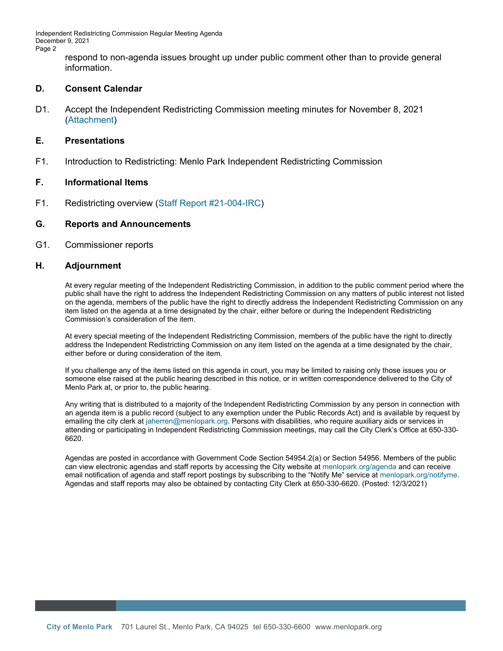Independent Redistricting Commission Regular Meeting Agenda December 9, 2021 Page 2

> respond to non-agenda issues brought up under public comment other than to provide general information.

#### **D. Consent Calendar**

D1. Accept the Independent Redistricting Commission meeting minutes for November 8, 2021 [\(Attachment\)](https://www.menlopark.org/DocumentCenter/View/30091/D1-20211118-IRC-minutes)

#### **E. Presentations**

F1. Introduction to Redistricting: Menlo Park Independent Redistricting Commission

#### **F. Informational Items**

F1. Redistricting overview [\(Staff Report #21-004-IRC\)](https://www.menlopark.org/DocumentCenter/View/30093/F1-20211209-IRC-Overview)

#### **G. Reports and Announcements**

G1. Commissioner reports

#### **H. Adjournment**

At every regular meeting of the Independent Redistricting Commission, in addition to the public comment period where the public shall have the right to address the Independent Redistricting Commission on any matters of public interest not listed on the agenda, members of the public have the right to directly address the Independent Redistricting Commission on any item listed on the agenda at a time designated by the chair, either before or during the Independent Redistricting Commission's consideration of the item.

At every special meeting of the Independent Redistricting Commission, members of the public have the right to directly address the Independent Redistricting Commission on any item listed on the agenda at a time designated by the chair, either before or during consideration of the item.

If you challenge any of the items listed on this agenda in court, you may be limited to raising only those issues you or someone else raised at the public hearing described in this notice, or in written correspondence delivered to the City of Menlo Park at, or prior to, the public hearing.

Any writing that is distributed to a majority of the Independent Redistricting Commission by any person in connection with an agenda item is a public record (subject to any exemption under the Public Records Act) and is available by request by emailing the city clerk a[t jaherren@menlopark.org.](mailto:jaherren@menlopark.org) Persons with disabilities, who require auxiliary aids or services in attending or participating in Independent Redistricting Commission meetings, may call the City Clerk's Office at 650-330- 6620.

Agendas are posted in accordance with Government Code Section 54954.2(a) or Section 54956. Members of the public can view electronic agendas and staff reports by accessing the City website at [menlopark.org/agenda](http://menlopark.org/agenda) and can receive email notification of agenda and staff report postings by subscribing to the "Notify Me" service at [menlopark.org/notifyme.](http://www.menlopark.org/notifyme) Agendas and staff reports may also be obtained by contacting City Clerk at 650-330-6620. (Posted: 12/3/2021)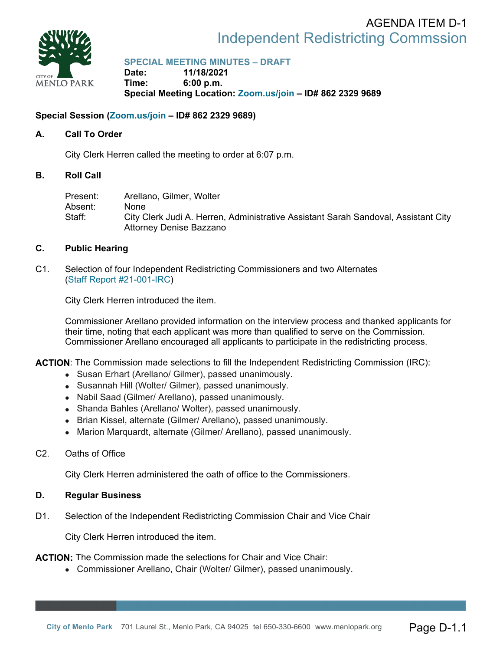# Independent Redistricting Commssion AGENDA ITEM D-1



**SPECIAL MEETING MINUTES – DRAFT** 

**Date: 11/18/2021 Time: 6:00 p.m. Special Meeting Location: Zoom.us/join – ID# 862 2329 9689** 

# **Special Session (Zoom.us/join – ID# 862 2329 9689)**

# **A. Call To Order**

City Clerk Herren called the meeting to order at 6:07 p.m.

# **B. Roll Call**

Present: Arellano, Gilmer, Wolter Absent: None Staff: City Clerk Judi A. Herren, Administrative Assistant Sarah Sandoval, Assistant City Attorney Denise Bazzano

# **C. Public Hearing**

C1. Selection of four Independent Redistricting Commissioners and two Alternates (Staff Report #21-001-IRC)

City Clerk Herren introduced the item.

Commissioner Arellano provided information on the interview process and thanked applicants for their time, noting that each applicant was more than qualified to serve on the Commission. Commissioner Arellano encouraged all applicants to participate in the redistricting process.

**ACTION**: The Commission made selections to fill the Independent Redistricting Commission (IRC):

- Susan Erhart (Arellano/ Gilmer), passed unanimously.
- Susannah Hill (Wolter/ Gilmer), passed unanimously.
- Nabil Saad (Gilmer/ Arellano), passed unanimously.
- Shanda Bahles (Arellano/ Wolter), passed unanimously.
- Brian Kissel, alternate (Gilmer/ Arellano), passed unanimously.
- Marion Marquardt, alternate (Gilmer/ Arellano), passed unanimously.
- C2. Oaths of Office

City Clerk Herren administered the oath of office to the Commissioners.

# **D. Regular Business**

D1. Selection of the Independent Redistricting Commission Chair and Vice Chair

City Clerk Herren introduced the item.

**ACTION:** The Commission made the selections for Chair and Vice Chair:

Commissioner Arellano, Chair (Wolter/ Gilmer), passed unanimously.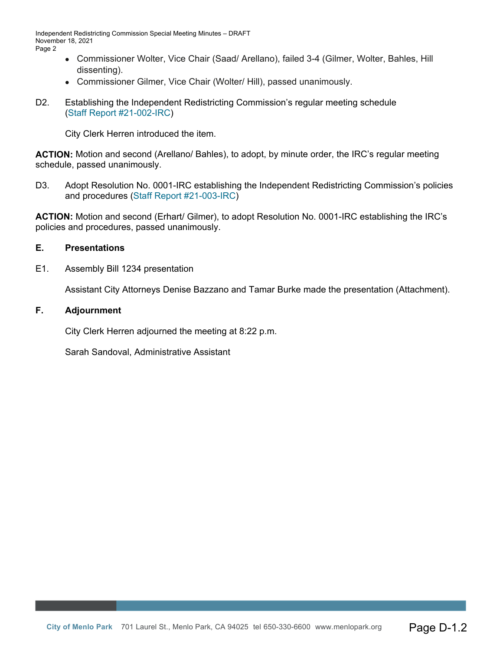Independent Redistricting Commission Special Meeting Minutes – DRAFT November 18, 2021 Page 2

- Commissioner Wolter, Vice Chair (Saad/ Arellano), failed 3-4 (Gilmer, Wolter, Bahles, Hill dissenting).
- Commissioner Gilmer, Vice Chair (Wolter/ Hill), passed unanimously.
- D2. Establishing the Independent Redistricting Commission's regular meeting schedule (Staff Report #21-002-IRC)

City Clerk Herren introduced the item.

**ACTION:** Motion and second (Arellano/ Bahles), to adopt, by minute order, the IRC's regular meeting schedule, passed unanimously.

D3. Adopt Resolution No. 0001-IRC establishing the Independent Redistricting Commission's policies and procedures (Staff Report #21-003-IRC)

**ACTION:** Motion and second (Erhart/ Gilmer), to adopt Resolution No. 0001-IRC establishing the IRC's policies and procedures, passed unanimously.

# **E. Presentations**

E1. Assembly Bill 1234 presentation

Assistant City Attorneys Denise Bazzano and Tamar Burke made the presentation (Attachment).

### **F. Adjournment**

City Clerk Herren adjourned the meeting at 8:22 p.m.

Sarah Sandoval, Administrative Assistant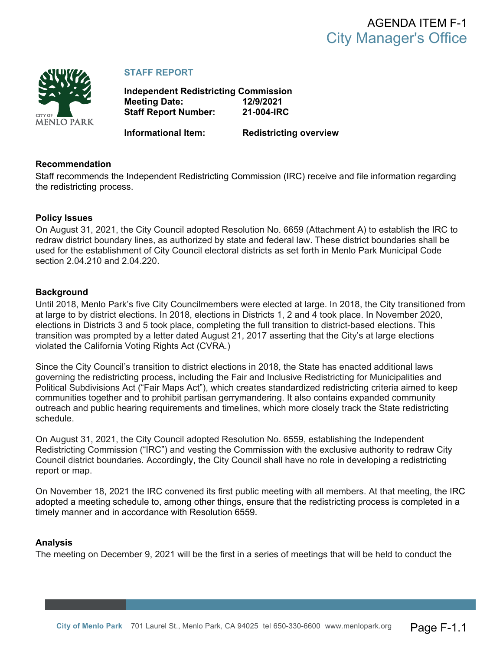

# **STAFF REPORT**

**Independent Redistricting Commission Meeting Date: 12/9/2021 Staff Report Number: 21-004-IRC**

**Informational Item: Redistricting overview**

#### **Recommendation**

Staff recommends the Independent Redistricting Commission (IRC) receive and file information regarding the redistricting process.

#### **Policy Issues**

On August 31, 2021, the City Council adopted Resolution No. 6659 (Attachment A) to establish the IRC to redraw district boundary lines, as authorized by state and federal law. These district boundaries shall be used for the establishment of City Council electoral districts as set forth in Menlo Park Municipal Code section 2.04.210 and 2.04.220.

### **Background**

Until 2018, Menlo Park's five City Councilmembers were elected at large. In 2018, the City transitioned from at large to by district elections. In 2018, elections in Districts 1, 2 and 4 took place. In November 2020, elections in Districts 3 and 5 took place, completing the full transition to district-based elections. This transition was prompted by a letter dated August 21, 2017 asserting that the City's at large elections violated the California Voting Rights Act (CVRA.)

Since the City Council's transition to district elections in 2018, the State has enacted additional laws governing the redistricting process, including the Fair and Inclusive Redistricting for Municipalities and Political Subdivisions Act ("Fair Maps Act"), which creates standardized redistricting criteria aimed to keep communities together and to prohibit partisan gerrymandering. It also contains expanded community outreach and public hearing requirements and timelines, which more closely track the State redistricting schedule.

On August 31, 2021, the City Council adopted Resolution No. 6559, establishing the Independent Redistricting Commission ("IRC") and vesting the Commission with the exclusive authority to redraw City Council district boundaries. Accordingly, the City Council shall have no role in developing a redistricting report or map.

On November 18, 2021 the IRC convened its first public meeting with all members. At that meeting, the IRC adopted a meeting schedule to, among other things, ensure that the redistricting process is completed in a timely manner and in accordance with Resolution 6559.

#### **Analysis**

The meeting on December 9, 2021 will be the first in a series of meetings that will be held to conduct the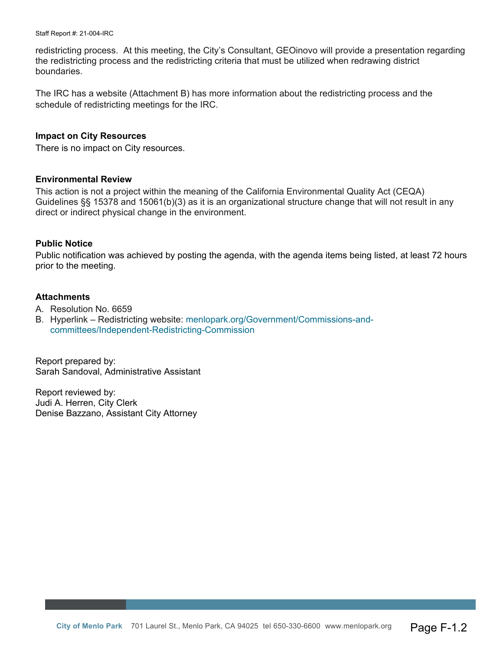Staff Report #: 21-004-IRC

redistricting process. At this meeting, the City's Consultant, GEOinovo will provide a presentation regarding the redistricting process and the redistricting criteria that must be utilized when redrawing district boundaries.

The IRC has a website (Attachment B) has more information about the redistricting process and the schedule of redistricting meetings for the IRC.

#### **Impact on City Resources**

There is no impact on City resources.

#### **Environmental Review**

This action is not a project within the meaning of the California Environmental Quality Act (CEQA) Guidelines §§ 15378 and 15061(b)(3) as it is an organizational structure change that will not result in any direct or indirect physical change in the environment.

#### **Public Notice**

Public notification was achieved by posting the agenda, with the agenda items being listed, at least 72 hours prior to the meeting.

#### **Attachments**

- A. Resolution No. 6659
- B. Hyperlink Redistricting website: [menlopark.org/Government/Commissions-and](https://beta.menlopark.org/Government/Commissions-and-committees/Independent-Redistricting-Commission)[committees/Independent-Redistricting-Commission](https://beta.menlopark.org/Government/Commissions-and-committees/Independent-Redistricting-Commission)

Report prepared by: Sarah Sandoval, Administrative Assistant

Report reviewed by: Judi A. Herren, City Clerk Denise Bazzano, Assistant City Attorney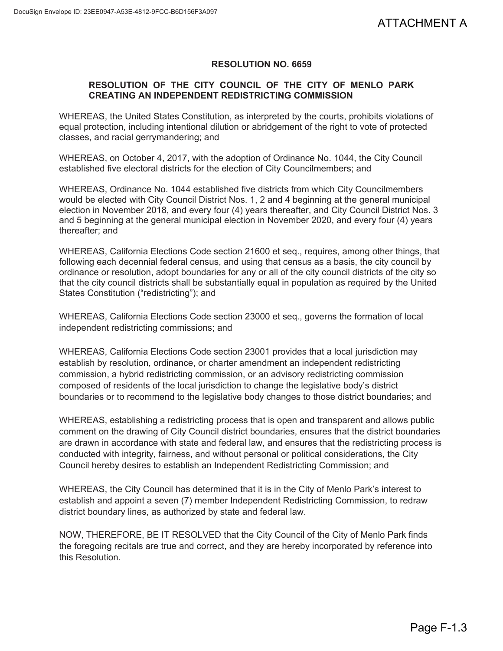# **RESOLUTION NO. 6659**

# **RESOLUTION OF THE CITY COUNCIL OF THE CITY OF MENLO PARK CREATING AN INDEPENDENT REDISTRICTING COMMISSION**

WHEREAS, the United States Constitution, as interpreted by the courts, prohibits violations of equal protection, including intentional dilution or abridgement of the right to vote of protected classes, and racial gerrymandering; and

WHEREAS, on October 4, 2017, with the adoption of Ordinance No. 1044, the City Council established five electoral districts for the election of City Councilmembers; and

WHEREAS, Ordinance No. 1044 established five districts from which City Councilmembers would be elected with City Council District Nos. 1, 2 and 4 beginning at the general municipal election in November 2018, and every four (4) years thereafter, and City Council District Nos. 3 and 5 beginning at the general municipal election in November 2020, and every four (4) years thereafter; and

WHEREAS, California Elections Code section 21600 et seq., requires, among other things, that following each decennial federal census, and using that census as a basis, the city council by ordinance or resolution, adopt boundaries for any or all of the city council districts of the city so that the city council districts shall be substantially equal in population as required by the United States Constitution ("redistricting"); and

WHEREAS, California Elections Code section 23000 et seq., governs the formation of local independent redistricting commissions; and

WHEREAS, California Elections Code section 23001 provides that a local jurisdiction may establish by resolution, ordinance, or charter amendment an independent redistricting commission, a hybrid redistricting commission, or an advisory redistricting commission composed of residents of the local jurisdiction to change the legislative body's district boundaries or to recommend to the legislative body changes to those district boundaries; and

WHEREAS, establishing a redistricting process that is open and transparent and allows public comment on the drawing of City Council district boundaries, ensures that the district boundaries are drawn in accordance with state and federal law, and ensures that the redistricting process is conducted with integrity, fairness, and without personal or political considerations, the City Council hereby desires to establish an Independent Redistricting Commission; and ATTACHMENT A<br>
o PARK<br>
s violations of<br>
div Council<br>
cilmembers<br>
ral municipal<br>
District Nos. 3<br>
four (4) years<br>
ther things, that<br>
tity council by<br>
s of the city so<br>
y by the United<br>
tion of local<br>
iction may<br>
ricting<br>
iss

WHEREAS, the City Council has determined that it is in the City of Menlo Park's interest to establish and appoint a seven (7) member Independent Redistricting Commission, to redraw district boundary lines, as authorized by state and federal law.

NOW, THEREFORE, BE IT RESOLVED that the City Council of the City of Menlo Park finds the foregoing recitals are true and correct, and they are hereby incorporated by reference into this Resolution.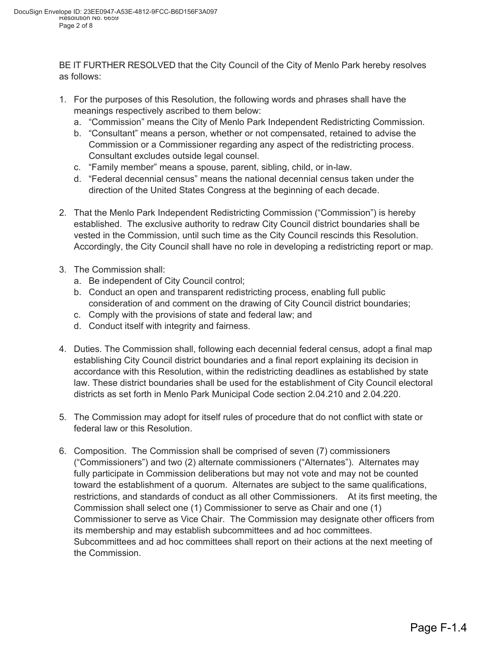BE IT FURTHER RESOLVED that the City Council of the City of Menlo Park hereby resolves as follows:

- 1. For the purposes of this Resolution, the following words and phrases shall have the meanings respectively ascribed to them below:
	- a. "Commission" means the City of Menlo Park Independent Redistricting Commission.
	- b. "Consultant" means a person, whether or not compensated, retained to advise the Commission or a Commissioner regarding any aspect of the redistricting process. Consultant excludes outside legal counsel.
	- c. "Family member" means a spouse, parent, sibling, child, or in-law.
	- d. "Federal decennial census" means the national decennial census taken under the direction of the United States Congress at the beginning of each decade.
- 2. That the Menlo Park Independent Redistricting Commission ("Commission") is hereby established. The exclusive authority to redraw City Council district boundaries shall be vested in the Commission, until such time as the City Council rescinds this Resolution. Accordingly, the City Council shall have no role in developing a redistricting report or map.
- 3. The Commission shall:
	- a. Be independent of City Council control;
	- b. Conduct an open and transparent redistricting process, enabling full public consideration of and comment on the drawing of City Council district boundaries;
	- c. Comply with the provisions of state and federal law; and
	- d. Conduct itself with integrity and fairness.
- 4. Duties. The Commission shall, following each decennial federal census, adopt a final map establishing City Council district boundaries and a final report explaining its decision in accordance with this Resolution, within the redistricting deadlines as established by state law. These district boundaries shall be used for the establishment of City Council electoral districts as set forth in Menlo Park Municipal Code section 2.04.210 and 2.04.220.
- 5. The Commission may adopt for itself rules of procedure that do not conflict with state or federal law or this Resolution.
- 6. Composition. The Commission shall be comprised of seven (7) commissioners ("Commissioners") and two (2) alternate commissioners ("Alternates"). Alternates may fully participate in Commission deliberations but may not vote and may not be counted toward the establishment of a quorum. Alternates are subject to the same qualifications, restrictions, and standards of conduct as all other Commissioners. At its first meeting, the Commission shall select one (1) Commissioner to serve as Chair and one (1) Commissioner to serve as Vice Chair. The Commission may designate other officers from its membership and may establish subcommittees and ad hoc committees. Subcommittees and ad hoc committees shall report on their actions at the next meeting of the Commission.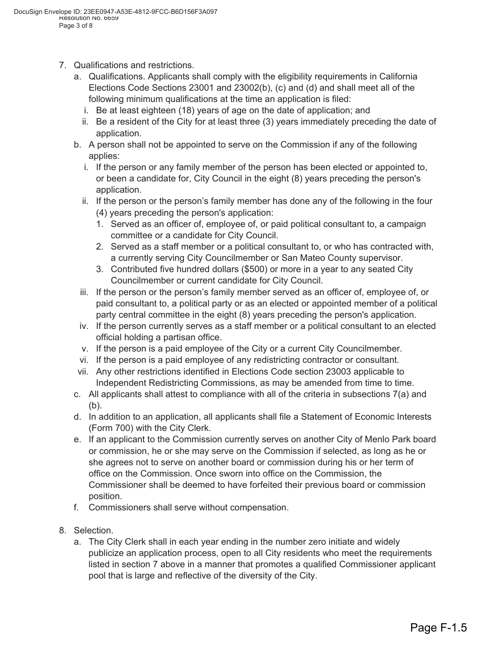- 7. Qualifications and restrictions.
	- a. Qualifications. Applicants shall comply with the eligibility requirements in California Elections Code Sections 23001 and 23002(b), (c) and (d) and shall meet all of the following minimum qualifications at the time an application is filed:
		- i. Be at least eighteen (18) years of age on the date of application; and
		- ii. Be a resident of the City for at least three (3) years immediately preceding the date of application.
	- b. A person shall not be appointed to serve on the Commission if any of the following applies:
		- i. If the person or any family member of the person has been elected or appointed to, or been a candidate for, City Council in the eight (8) years preceding the person's application.
		- ii. If the person or the person's family member has done any of the following in the four (4) years preceding the person's application:
			- 1. Served as an officer of, employee of, or paid political consultant to, a campaign committee or a candidate for City Council.
			- 2. Served as a staff member or a political consultant to, or who has contracted with, a currently serving City Councilmember or San Mateo County supervisor.
			- 3. Contributed five hundred dollars (\$500) or more in a year to any seated City Councilmember or current candidate for City Council.
		- iii. If the person or the person's family member served as an officer of, employee of, or paid consultant to, a political party or as an elected or appointed member of a political party central committee in the eight (8) years preceding the person's application.
	- iv. If the person currently serves as a staff member or a political consultant to an elected official holding a partisan office.
	- v. If the person is a paid employee of the City or a current City Councilmember.
	- vi. If the person is a paid employee of any redistricting contractor or consultant.
	- vii. Any other restrictions identified in Elections Code section 23003 applicable to Independent Redistricting Commissions, as may be amended from time to time.
	- c. All applicants shall attest to compliance with all of the criteria in subsections 7(a) and (b).
	- d. In addition to an application, all applicants shall file a Statement of Economic Interests (Form 700) with the City Clerk.
	- e. If an applicant to the Commission currently serves on another City of Menlo Park board or commission, he or she may serve on the Commission if selected, as long as he or she agrees not to serve on another board or commission during his or her term of office on the Commission. Once sworn into office on the Commission, the Commissioner shall be deemed to have forfeited their previous board or commission position.
	- f. Commissioners shall serve without compensation.
- 8. Selection.
	- a. The City Clerk shall in each year ending in the number zero initiate and widely publicize an application process, open to all City residents who meet the requirements listed in section 7 above in a manner that promotes a qualified Commissioner applicant pool that is large and reflective of the diversity of the City.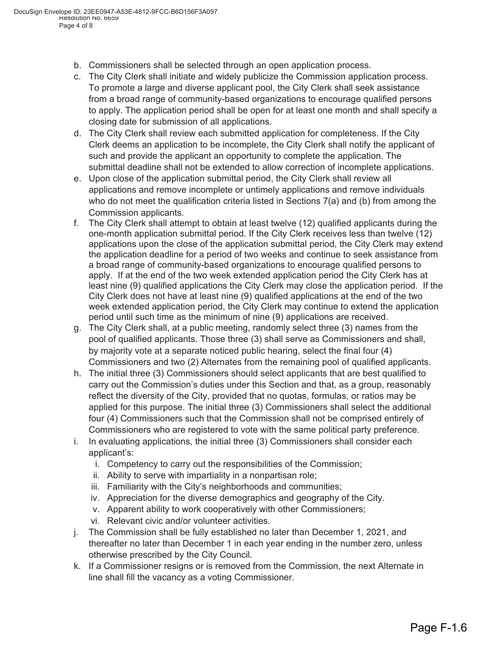- b. Commissioners shall be selected through an open application process.
- c. The City Clerk shall initiate and widely publicize the Commission application process. To promote a large and diverse applicant pool, the City Clerk shall seek assistance from a broad range of community-based organizations to encourage qualified persons to apply. The application period shall be open for at least one month and shall specify a closing date for submission of all applications.
- d. The City Clerk shall review each submitted application for completeness. If the City Clerk deems an application to be incomplete, the City Clerk shall notify the applicant of such and provide the applicant an opportunity to complete the application. The submittal deadline shall not be extended to allow correction of incomplete applications.
- e. Upon close of the application submittal period, the City Clerk shall review all applications and remove incomplete or untimely applications and remove individuals who do not meet the qualification criteria listed in Sections  $7(a)$  and (b) from among the Commission applicants.
- f. The City Clerk shall attempt to obtain at least twelve (12) qualified applicants during the one-month application submittal period. If the City Clerk receives less than twelve (12) applications upon the close of the application submittal period, the City Clerk may extend the application deadline for a period of two weeks and continue to seek assistance from a broad range of community-based organizations to encourage qualified persons to apply. If at the end of the two week extended application period the City Clerk has at least nine (9) qualified applications the City Clerk may close the application period. If the City Clerk does not have at least nine (9) qualified applications at the end of the two week extended application period, the City Clerk may continue to extend the application period until such time as the minimum of nine (9) applications are received.
- g. The City Clerk shall, at a public meeting, randomly select three (3) names from the pool of qualified applicants. Those three (3) shall serve as Commissioners and shall, by majority vote at a separate noticed public hearing, select the final four (4) Commissioners and two (2) Alternates from the remaining pool of qualified applicants.
- h. The initial three (3) Commissioners should select applicants that are best qualified to carry out the Commission's duties under this Section and that, as a group, reasonably reflect the diversity of the City, provided that no quotas, formulas, or ratios may be applied for this purpose. The initial three (3) Commissioners shall select the additional four (4) Commissioners such that the Commission shall not be comprised entirely of Commissioners who are registered to vote with the same political party preference.
- i. In evaluating applications, the initial three (3) Commissioners shall consider each applicant's:
	- i. Competency to carry out the responsibilities of the Commission;
	- ii. Ability to serve with impartiality in a nonpartisan role;
	- iii. Familiarity with the City's neighborhoods and communities;
	- iv. Appreciation for the diverse demographics and geography of the City.
	- v. Apparent ability to work cooperatively with other Commissioners;
	- vi. Relevant civic and/or volunteer activities.
- j. The Commission shall be fully established no later than December 1, 2021, and thereafter no later than December 1 in each year ending in the number zero, unless otherwise prescribed by the City Council.
- k. If a Commissioner resigns or is removed from the Commission, the next Alternate in line shall fill the vacancy as a voting Commissioner.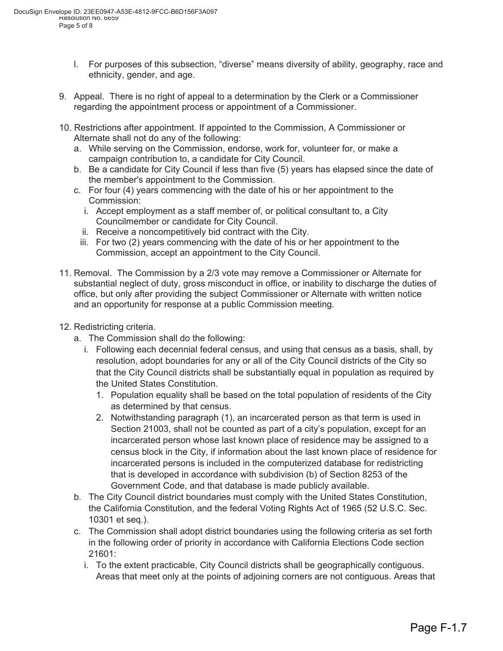- l. For purposes of this subsection, "diverse" means diversity of ability, geography, race and ethnicity, gender, and age.
- 9. Appeal. There is no right of appeal to a determination by the Clerk or a Commissioner regarding the appointment process or appointment of a Commissioner.
- 10. Restrictions after appointment. If appointed to the Commission, A Commissioner or Alternate shall not do any of the following:
	- a. While serving on the Commission, endorse, work for, volunteer for, or make a campaign contribution to, a candidate for City Council.
	- b. Be a candidate for City Council if less than five (5) years has elapsed since the date of the member's appointment to the Commission.
	- c. For four (4) years commencing with the date of his or her appointment to the Commission:
		- i. Accept employment as a staff member of, or political consultant to, a City Councilmember or candidate for City Council.
		- ii. Receive a noncompetitively bid contract with the City.
		- iii. For two (2) years commencing with the date of his or her appointment to the Commission, accept an appointment to the City Council.
- 11. Removal. The Commission by a 2/3 vote may remove a Commissioner or Alternate for substantial neglect of duty, gross misconduct in office, or inability to discharge the duties of office, but only after providing the subject Commissioner or Alternate with written notice and an opportunity for response at a public Commission meeting.
- 12. Redistricting criteria.
	- a. The Commission shall do the following:
		- i. Following each decennial federal census, and using that census as a basis, shall, by resolution, adopt boundaries for any or all of the City Council districts of the City so that the City Council districts shall be substantially equal in population as required by the United States Constitution.
			- 1. Population equality shall be based on the total population of residents of the City as determined by that census.
			- 2. Notwithstanding paragraph (1), an incarcerated person as that term is used in Section 21003, shall not be counted as part of a city's population, except for an incarcerated person whose last known place of residence may be assigned to a census block in the City, if information about the last known place of residence for incarcerated persons is included in the computerized database for redistricting that is developed in accordance with subdivision (b) of Section 8253 of the Government Code, and that database is made publicly available.
	- b. The City Council district boundaries must comply with the United States Constitution, the California Constitution, and the federal Voting Rights Act of 1965 (52 U.S.C. Sec. 10301 et seq.).
	- c. The Commission shall adopt district boundaries using the following criteria as set forth in the following order of priority in accordance with California Elections Code section 21601:
		- i. To the extent practicable, City Council districts shall be geographically contiguous. Areas that meet only at the points of adjoining corners are not contiguous. Areas that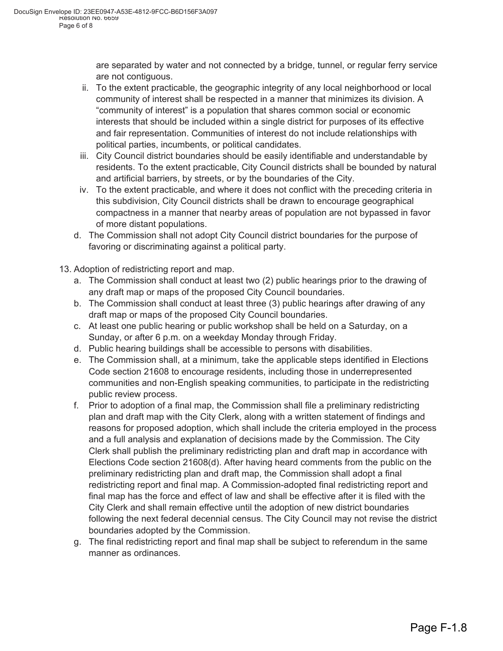are separated by water and not connected by a bridge, tunnel, or regular ferry service are not contiguous.

- ii. To the extent practicable, the geographic integrity of any local neighborhood or local community of interest shall be respected in a manner that minimizes its division. A "community of interest" is a population that shares common social or economic interests that should be included within a single district for purposes of its effective and fair representation. Communities of interest do not include relationships with political parties, incumbents, or political candidates.
- iii. City Council district boundaries should be easily identifiable and understandable by residents. To the extent practicable, City Council districts shall be bounded by natural and artificial barriers, by streets, or by the boundaries of the City.
- iv. To the extent practicable, and where it does not conflict with the preceding criteria in this subdivision, City Council districts shall be drawn to encourage geographical compactness in a manner that nearby areas of population are not bypassed in favor of more distant populations.
- d. The Commission shall not adopt City Council district boundaries for the purpose of favoring or discriminating against a political party.
- 13. Adoption of redistricting report and map.
	- a. The Commission shall conduct at least two (2) public hearings prior to the drawing of any draft map or maps of the proposed City Council boundaries.
	- b. The Commission shall conduct at least three (3) public hearings after drawing of any draft map or maps of the proposed City Council boundaries.
	- c. At least one public hearing or public workshop shall be held on a Saturday, on a Sunday, or after 6 p.m. on a weekday Monday through Friday.
	- d. Public hearing buildings shall be accessible to persons with disabilities.
	- e. The Commission shall, at a minimum, take the applicable steps identified in Elections Code section 21608 to encourage residents, including those in underrepresented communities and non-English speaking communities, to participate in the redistricting public review process.
	- f. Prior to adoption of a final map, the Commission shall file a preliminary redistricting plan and draft map with the City Clerk, along with a written statement of findings and reasons for proposed adoption, which shall include the criteria employed in the process and a full analysis and explanation of decisions made by the Commission. The City Clerk shall publish the preliminary redistricting plan and draft map in accordance with Elections Code section 21608(d). After having heard comments from the public on the preliminary redistricting plan and draft map, the Commission shall adopt a final redistricting report and final map. A Commission-adopted final redistricting report and final map has the force and effect of law and shall be effective after it is filed with the City Clerk and shall remain effective until the adoption of new district boundaries following the next federal decennial census. The City Council may not revise the district boundaries adopted by the Commission.
	- g. The final redistricting report and final map shall be subject to referendum in the same manner as ordinances.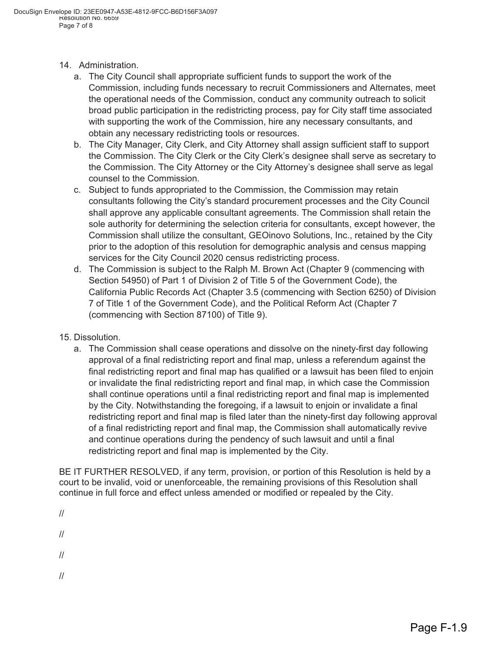- 14. Administration.
	- a. The City Council shall appropriate sufficient funds to support the work of the Commission, including funds necessary to recruit Commissioners and Alternates, meet the operational needs of the Commission, conduct any community outreach to solicit broad public participation in the redistricting process, pay for City staff time associated with supporting the work of the Commission, hire any necessary consultants, and obtain any necessary redistricting tools or resources.
	- b. The City Manager, City Clerk, and City Attorney shall assign sufficient staff to support the Commission. The City Clerk or the City Clerk's designee shall serve as secretary to the Commission. The City Attorney or the City Attorney's designee shall serve as legal counsel to the Commission.
	- c. Subject to funds appropriated to the Commission, the Commission may retain consultants following the City's standard procurement processes and the City Council shall approve any applicable consultant agreements. The Commission shall retain the sole authority for determining the selection criteria for consultants, except however, the Commission shall utilize the consultant, GEOinovo Solutions, Inc., retained by the City prior to the adoption of this resolution for demographic analysis and census mapping services for the City Council 2020 census redistricting process.
	- d. The Commission is subject to the Ralph M. Brown Act (Chapter 9 (commencing with Section 54950) of Part 1 of Division 2 of Title 5 of the Government Code), the California Public Records Act (Chapter 3.5 (commencing with Section 6250) of Division 7 of Title 1 of the Government Code), and the Political Reform Act (Chapter 7 (commencing with Section 87100) of Title 9).
- 15. Dissolution.
	- a. The Commission shall cease operations and dissolve on the ninety-first day following approval of a final redistricting report and final map, unless a referendum against the final redistricting report and final map has qualified or a lawsuit has been filed to enjoin or invalidate the final redistricting report and final map, in which case the Commission shall continue operations until a final redistricting report and final map is implemented by the City. Notwithstanding the foregoing, if a lawsuit to enjoin or invalidate a final redistricting report and final map is filed later than the ninety-first day following approval of a final redistricting report and final map, the Commission shall automatically revive and continue operations during the pendency of such lawsuit and until a final redistricting report and final map is implemented by the City.

BE IT FURTHER RESOLVED, if any term, provision, or portion of this Resolution is held by a court to be invalid, void or unenforceable, the remaining provisions of this Resolution shall continue in full force and effect unless amended or modified or repealed by the City.

//

//

//

//